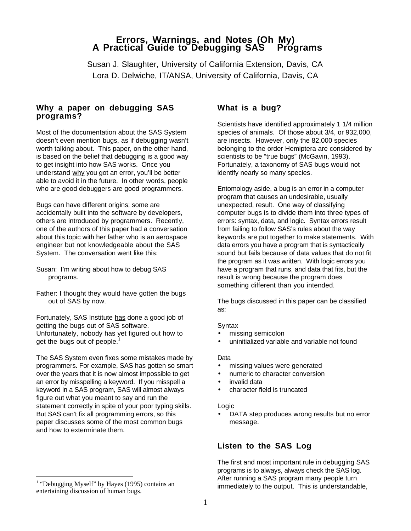# **Errors, Warnings, and Notes (Oh My)**<br>A Practical Guide to Debugging SAS<sup>®</sup> Programs

Susan J. Slaughter, University of California Extension, Davis, CA Lora D. Delwiche, IT/ANSA, University of California, Davis, CA

# **Why a paper on debugging SAS programs?**

Most of the documentation about the SAS System doesn't even mention bugs, as if debugging wasn't worth talking about. This paper, on the other hand, is based on the belief that debugging is a good way to get insight into how SAS works. Once you understand why you got an error, you'll be better able to avoid it in the future. In other words, people who are good debuggers are good programmers.

Bugs can have different origins; some are accidentally built into the software by developers, others are introduced by programmers. Recently, one of the authors of this paper had a conversation about this topic with her father who is an aerospace engineer but not knowledgeable about the SAS System. The conversation went like this:

- Susan: I'm writing about how to debug SAS programs.
- Father: I thought they would have gotten the bugs out of SAS by now.

Fortunately, SAS Institute has done a good job of getting the bugs out of SAS software. Unfortunately, nobody has yet figured out how to get the bugs out of people.<sup>1</sup>

The SAS System even fixes some mistakes made by programmers. For example, SAS has gotten so smart over the years that it is now almost impossible to get an error by misspelling a keyword. If you misspell a keyword in a SAS program, SAS will almost always figure out what you meant to say and run the statement correctly in spite of your poor typing skills. But SAS can't fix all programming errors, so this paper discusses some of the most common bugs and how to exterminate them.

 $\overline{a}$ 

# **What is a bug?**

Scientists have identified approximately 1 1/4 million species of animals. Of those about 3/4, or 932,000, are insects. However, only the 82,000 species belonging to the order Hemiptera are considered by scientists to be "true bugs" (McGavin, 1993). Fortunately, a taxonomy of SAS bugs would not identify nearly so many species.

Entomology aside, a bug is an error in a computer program that causes an undesirable, usually unexpected, result. One way of classifying computer bugs is to divide them into three types of errors: syntax, data, and logic. Syntax errors result from failing to follow SAS's rules about the way keywords are put together to make statements. With data errors you have a program that is syntactically sound but fails because of data values that do not fit the program as it was written. With logic errors you have a program that runs, and data that fits, but the result is wrong because the program does something different than you intended.

The bugs discussed in this paper can be classified as:

#### **Syntax**

- missing semicolon
- uninitialized variable and variable not found

#### Data

- missing values were generated
- numeric to character conversion
- invalid data
- character field is truncated

#### Logic

• DATA step produces wrong results but no error message.

# **Listen to the SAS Log**

The first and most important rule in debugging SAS programs is to always, always check the SAS log. After running a SAS program many people turn immediately to the output. This is understandable,

<sup>&</sup>lt;sup>1</sup> "Debugging Myself" by Hayes (1995) contains an entertaining discussion of human bugs.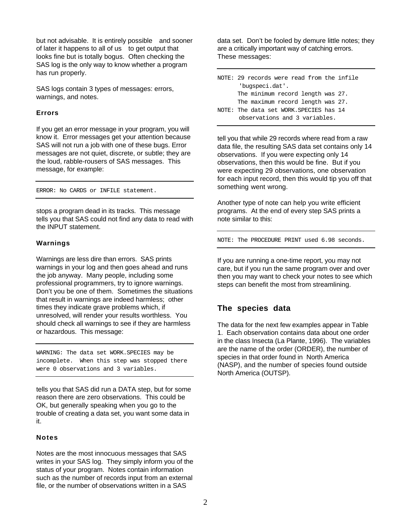but not advisable. It is entirely possible—and sooner of later it happens to all of us-to get output that looks fine but is totally bogus. Often checking the SAS log is the only way to know whether a program has run properly.

SAS logs contain 3 types of messages: errors, warnings, and notes.

#### **Errors**

If you get an error message in your program, you will know it. Error messages get your attention because SAS will not run a job with one of these bugs. Error messages are not quiet, discrete, or subtle; they are the loud, rabble-rousers of SAS messages. This message, for example:

ERROR: No CARDS or INFILE statement.

stops a program dead in its tracks. This message tells you that SAS could not find any data to read with the INPUT statement.

#### **Warnings**

Warnings are less dire than errors. SAS prints warnings in your log and then goes ahead and runs the job anyway. Many people, including some professional programmers, try to ignore warnings. Don't you be one of them. Sometimes the situations that result in warnings are indeed harmless; other times they indicate grave problems which, if unresolved, will render your results worthless. You should check all warnings to see if they are harmless or hazardous. This message:

WARNING: The data set WORK.SPECIES may be incomplete. When this step was stopped there were 0 observations and 3 variables.

tells you that SAS did run a DATA step, but for some reason there are zero observations. This could be OK, but generally speaking when you go to the trouble of creating a data set, you want some data in it.

#### **Notes**

Notes are the most innocuous messages that SAS writes in your SAS log. They simply inform you of the status of your program. Notes contain information such as the number of records input from an external file, or the number of observations written in a SAS

data set. Don't be fooled by demure little notes; they are a critically important way of catching errors. These messages:

NOTE: 29 records were read from the infile 'bugspeci.dat'. The minimum record length was 27. The maximum record length was 27. NOTE: The data set WORK.SPECIES has 14 observations and 3 variables.

tell you that while 29 records where read from a raw data file, the resulting SAS data set contains only 14 observations. If you were expecting only 14 observations, then this would be fine. But if you were expecting 29 observations, one observation for each input record, then this would tip you off that something went wrong.

Another type of note can help you write efficient programs. At the end of every step SAS prints a note similar to this:

NOTE: The PROCEDURE PRINT used 6.98 seconds.

If you are running a one-time report, you may not care, but if you run the same program over and over then you may want to check your notes to see which steps can benefit the most from streamlining.

# **The species data**

The data for the next few examples appear in Table 1. Each observation contains data about one order in the class Insecta (La Plante, 1996). The variables are the name of the order (ORDER), the number of species in that order found in North America (NASP), and the number of species found outside North America (OUTSP).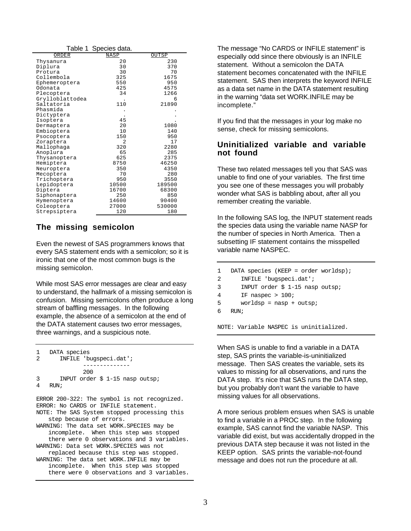|                 | Table 1 Species data. |        |
|-----------------|-----------------------|--------|
| ORDER           | NASP                  | OUTSP  |
| Thysanura       | 20                    | 230    |
| Diplura         | 30                    | 370    |
| Protura         | 30                    | 70     |
| Collembola      | 325                   | 1675   |
| Ephemeroptera   | 550                   | 950    |
| Odonata         | 425                   | 4575   |
| Plecoptera      | 34                    | 1266   |
| Grylloblattodea |                       | 6      |
| Saltatoria      | 110                   | 21890  |
| Phasmida        |                       |        |
| Dictyptera      |                       |        |
| Isoptera        | 45                    |        |
| Dermaptera      | 2.0                   | 1080   |
| Embioptera      | 10                    | 140    |
| Psocoptera      | 150                   | 950    |
| Zoraptera       | $\overline{c}$        | 17     |
| Mallophaga      | 320                   | 2280   |
| Anoplura        | 65                    | 285    |
| Thysanoptera    | 625                   | 2375   |
| Hemiptera       | 8750                  | 46250  |
| Neuroptera      | 350                   | 4350   |
| Mecoptera       | 70                    | 280    |
| Trichoptera     | 950                   | 3550   |
| Lepidoptera     | 10500                 | 189500 |
| Diptera         | 16700                 | 68300  |
| Siphonaptera    | 250                   | 850    |
| Hymenoptera     | 14600                 | 90400  |
| Coleoptera      | 27000                 | 530000 |
| Strepsiptera    | 120                   | 180    |

# **The missing semicolon**

Even the newest of SAS programmers knows that every SAS statement ends with a semicolon; so it is ironic that one of the most common bugs is the missing semicolon.

While most SAS error messages are clear and easy to understand, the hallmark of a missing semicolon is confusion. Missing semicolons often produce a long stream of baffling messages. In the following example, the absence of a semicolon at the end of the DATA statement causes two error messages, three warnings, and a suspicious note.

```
1 DATA species
2 INFILE 'bugspeci.dat';
              --------------
              200
3 INPUT order $ 1-15 nasp outsp;
4 RIN;
ERROR 200-322: The symbol is not recognized.
ERROR: No CARDS or INFILE statement.
NOTE: The SAS System stopped processing this
   step because of errors.
WARNING: The data set WORK.SPECIES may be
   incomplete. When this step was stopped
   there were 0 observations and 3 variables.
WARNING: Data set WORK.SPECIES was not
   replaced because this step was stopped.
WARNING: The data set WORK.INFILE may be
   incomplete. When this step was stopped
```
there were 0 observations and 3 variables.

The message "No CARDS or INFILE statement" is especially odd since there obviously is an INFILE statement. Without a semicolon the DATA statement becomes concatenated with the INFILE statement. SAS then interprets the keyword INFILE as a data set name in the DATA statement resulting in the warning "data set WORK.INFILE may be incomplete."

If you find that the messages in your log make no sense, check for missing semicolons.

# **Uninitialized variable and variable not found**

These two related messages tell you that SAS was unable to find one of your variables. The first time you see one of these messages you will probably wonder what SAS is babbling about, after all you remember creating the variable.

In the following SAS log, the INPUT statement reads the species data using the variable name NASP for the number of species in North America. Then a subsetting IF statement contains the misspelled variable name NASPEC.

```
1 DATA species (KEEP = order worldsp);
2 INFILE 'bugspeci.dat';
3 INPUT order $ 1-15 nasp outsp;
4 IF naspec > 100;
5 worldsp = nasp + outsp;
6 RUN;
```
NOTE: Variable NASPEC is uninitialized.

When SAS is unable to find a variable in a DATA step, SAS prints the variable-is-uninitialized message. Then SAS creates the variable, sets its values to missing for all observations, and runs the DATA step. It's nice that SAS runs the DATA step, but you probably don't want the variable to have missing values for all observations.

A more serious problem ensues when SAS is unable to find a variable in a PROC step. In the following example, SAS cannot find the variable NASP. This variable did exist, but was accidentally dropped in the previous DATA step because it was not listed in the KEEP option. SAS prints the variable-not-found message and does not run the procedure at all.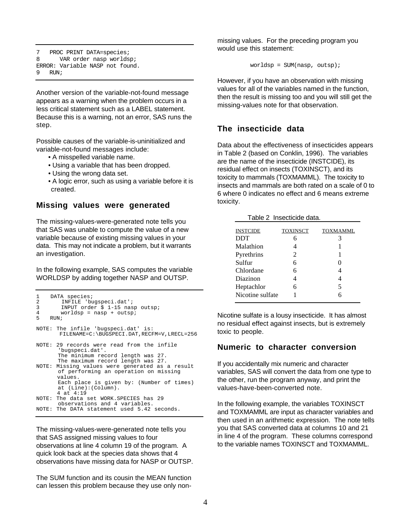```
7 PROC PRINT DATA=species;
8 VAR order nasp worldsp;
ERROR: Variable NASP not found.
9 RIN;
```
Another version of the variable-not-found message appears as a warning when the problem occurs in a less critical statement such as a LABEL statement. Because this is a warning, not an error, SAS runs the step.

Possible causes of the variable-is-uninitialized and variable-not-found messages include:

- A misspelled variable name.
- Using a variable that has been dropped.
- Using the wrong data set.
- A logic error, such as using a variable before it is created.

#### **Missing values were generated**

The missing-values-were-generated note tells you that SAS was unable to compute the value of a new variable because of existing missing values in your data. This may not indicate a problem, but it warrants an investigation.

In the following example, SAS computes the variable WORLDSP by adding together NASP and OUTSP.

```
1 DATA species;<br>2 TNFILE 'bu
2 INFILE 'bugspeci.dat';<br>3 INPUT order $ 1-15 nas
3 INPUT order $ 1-15 nasp outsp;<br>4 Worldsp = nasp + outsp;
4 worldsp = nasp + outsp;
    RIIN;
NOTE: The infile 'bugspeci.dat' is:
        FILENAME=C:\BUGSPECI.DAT,RECFM=V,LRECL=256
NOTE: 29 records were read from the infile
        'bugspeci.dat'.
        The minimum record length was 27.
        The maximum record length was 27.
NOTE: Missing values were generated as a result
        of performing an operation on missing
        values.
        Each place is given by: (Number of times)
        at (Line):(Column).
        4 at 4:19
NOTE: The data set WORK.SPECIES has 29
        observations and 4 variables.
NOTE: The DATA statement used 5.42 seconds.
```
The missing-values-were-generated note tells you that SAS assigned missing values to four observations at line 4 column 19 of the program. A quick look back at the species data shows that 4 observations have missing data for NASP or OUTSP.

The SUM function and its cousin the MEAN function can lessen this problem because they use only nonmissing values. For the preceding program you would use this statement:

 $worldsp = SUM(nasp, outsp);$ 

However, if you have an observation with missing values for all of the variables named in the function, then the result is missing too and you will still get the missing-values note for that observation.

# **The insecticide data**

Data about the effectiveness of insecticides appears in Table 2 (based on Conklin, 1996). The variables are the name of the insecticide (INSTCIDE), its residual effect on insects (TOXINSCT), and its toxicity to mammals (TOXMAMML). The toxicity to insects and mammals are both rated on a scale of 0 to 6 where 0 indicates no effect and 6 means extreme toxicity.

Table 2 Insecticide data.

| <b>INSTCIDE</b>  | TOXINSCT | <b>TOXMAMML</b> |
|------------------|----------|-----------------|
| <b>DDT</b>       |          |                 |
| Malathion        |          |                 |
| Pyrethrins       | 2        |                 |
| Sulfur           | 6        |                 |
| Chlordane        | 6        |                 |
| Diazinon         |          |                 |
| Heptachlor       | 6        | 5               |
| Nicotine sulfate |          | 6               |
|                  |          |                 |

Nicotine sulfate is a lousy insecticide. It has almost no residual effect against insects, but is extremely toxic to people.

#### **Numeric to character conversion**

If you accidentally mix numeric and character variables, SAS will convert the data from one type to the other, run the program anyway, and print the values-have-been-converted note.

In the following example, the variables TOXINSCT and TOXMAMML are input as character variables and then used in an arithmetic expression. The note tells you that SAS converted data at columns 10 and 21 in line 4 of the program. These columns correspond to the variable names TOXINSCT and TOXMAMML.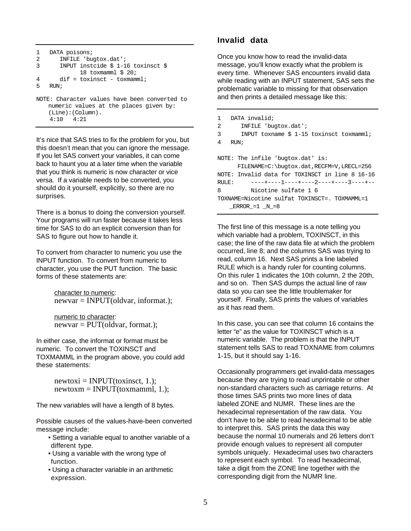```
1 DATA poisons;<br>2 INFILE 'bu
2 INFILE 'bugtox.dat';<br>3 INPUT instcide $ 1-1
       3 INPUT instcide $ 1-16 toxinsct $
               18 toxmamml $ 20;
4 dif = toxinsct - toxmamml;
5 RUN;
NOTE: Character values have been converted to
    numeric values at the places given by:
    (Line):(Column).
     4:10 4:21
```
It's nice that SAS tries to fix the problem for you, but this doesn't mean that you can ignore the message. If you let SAS convert your variables, it can come back to haunt you at a later time when the variable that you think is numeric is now character or vice versa. If a variable needs to be converted, you should do it yourself, explicitly, so there are no surprises.

There is a bonus to doing the conversion yourself. Your programs will run faster because it takes less time for SAS to do an explicit conversion than for SAS to figure out how to handle it.

To convert from character to numeric you use the INPUT function. To convert from numeric to character, you use the PUT function. The basic forms of these statements are:

> character to numeric:  $newvar = INPUT(oldvar, information);$

numeric to character:  $newvar = PUT(oldvar, format.);$ 

In either case, the informat or format must be numeric. To convert the TOXINSCT and TOXMAMML in the program above, you could add these statements:

> $newtoxi = INPUT(toxinset, 1.);$  $newtoxm = INPUT(toxmannl, 1.);$

The new variables will have a length of 8 bytes.

Possible causes of the values-have-been converted message include:

- Setting a variable equal to another variable of a different type.
- Using a variable with the wrong type of function.
- Using a character variable in an arithmetic expression.

# **Invalid data**

Once you know how to read the invalid-data message, you'll know exactly what the problem is every time. Whenever SAS encounters invalid data while reading with an INPUT statement, SAS sets the problematic variable to missing for that observation and then prints a detailed message like this:

```
1 DATA invalid;
2 INFILE 'bugtox.dat';
3 INPUT toxname $ 1-15 toxinsct toxmamml;
4 RUN;
NOTE: The infile 'bugtox.dat' is:
      FILENAME=C:\bugtox.dat,RECFM=V,LRECL=256
NOTE: Invalid data for TOXINSCT in line 8 16-16
RULE: ----+----1----+----2----+----3----+--
8 Nicotine sulfate 1 6
TOXNAME=Nicotine sulfat TOXINSCT=. TOXMAMML=1
   \text{ERROR}_=1 \text{N}_=8
```
The first line of this message is a note telling you which variable had a problem, TOXINSCT, in this case; the line of the raw data file at which the problem occurred, line 8; and the columns SAS was trying to read, column 16. Next SAS prints a line labeled RULE which is a handy ruler for counting columns. On this ruler 1 indicates the 10th column, 2 the 20th, and so on. Then SAS dumps the actual line of raw data so you can see the little troublemaker for yourself. Finally, SAS prints the values of variables as it has read them.

In this case, you can see that column 16 contains the letter "e" as the value for TOXINSCT which is a numeric variable. The problem is that the INPUT statement tells SAS to read TOXNAME from columns 1-15, but it should say 1-16.

Occasionally programmers get invalid-data messages because they are trying to read unprintable or other non-standard characters such as carriage returns. At those times SAS prints two more lines of data labeled ZONE and NUMR. These lines are the hexadecimal representation of the raw data. You don't have to be able to read hexadecimal to be able to interpret this. SAS prints the data this way because the normal 10 numerals and 26 letters don't provide enough values to represent all computer symbols uniquely. Hexadecimal uses two characters to represent each symbol. To read hexadecimal, take a digit from the ZONE line together with the corresponding digit from the NUMR line.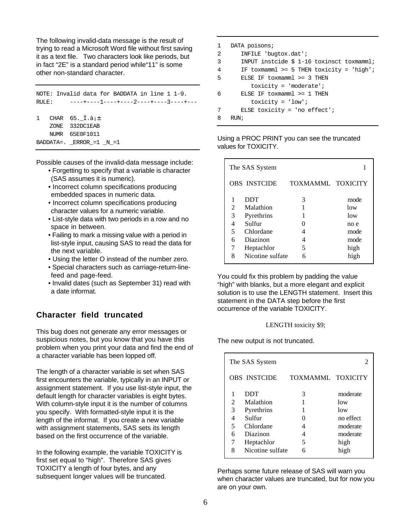The following invalid-data message is the result of trying to read a Microsoft Word file without first saving it as a text file. Two characters look like periods, but in fact "2E" is a standard period while"11" is some other non-standard character.

NOTE: Invalid data for BADDATA in line 1 1-9. RULE: ----+----1----+----2----+----3----+---1 CHAR  $65 \cdot \overline{\phantom{0}}\mathbf{i} \cdot \mathbf{\hat{a}}$ <sub>i</sub> $\pm$  ZONE 332DC1EAB NUMR 65E0F1011 BADDATA=. \_ERROR\_=1 \_N\_=1

Possible causes of the invalid-data message include:

- Forgetting to specify that a variable is character (SAS assumes it is numeric).
- Incorrect column specifications producing embedded spaces in numeric data.
- Incorrect column specifications producing character values for a numeric variable.
- List-style data with two periods in a row and no space in between.
- Failing to mark a missing value with a period in list-style input, causing SAS to read the data for the next variable.
- Using the letter O instead of the number zero.
- Special characters such as carriage-return-linefeed and page-feed.
- Invalid dates (such as September 31) read with a date informat.

# **Character field truncated**

This bug does not generate any error messages or suspicious notes, but you know that you have this problem when you print your data and find the end of a character variable has been lopped off.

The length of a character variable is set when SAS first encounters the variable, typically in an INPUT or assignment statement. If you use list-style input, the default length for character variables is eight bytes. With column-style input it is the number of columns you specify. With formatted-style input it is the length of the informat. If you create a new variable with assignment statements, SAS sets its length based on the first occurrence of the variable.

In the following example, the variable TOXICITY is first set equal to "high". Therefore SAS gives TOXICITY a length of four bytes, and any subsequent longer values will be truncated.

```
1 DATA poisons;
2 INFILE 'bugtox.dat';
3 INPUT instcide $ 1-16 toxinsct toxmamml;
4 IF toxmamml >= 5 THEN toxicity = 'high';
5 ELSE IF toxmamml >= 3 THEN
          toxicity = 'moderate';
6 ELSE IF toxmamml >= 1 THEN
          toxicity = 'low';
7 ELSE toxicity = 'no effect';
8 RUN;
```
Using a PROC PRINT you can see the truncated values for TOXICITY.

|   | The SAS System      |                   |      |
|---|---------------------|-------------------|------|
|   | <b>OBS INSTCIDE</b> | TOXMAMML TOXICITY |      |
|   | DDT                 | 3                 | mode |
| 2 | Malathion           | 1                 | low  |
| 3 | Pyrethrins          |                   | low  |
| 4 | Sulfur              |                   | no e |
| 5 | Chlordane           |                   | mode |
| 6 | Diazinon            |                   | mode |
| 7 | Heptachlor          | 5                 | high |
| 8 | Nicotine sulfate    |                   | high |
|   |                     |                   |      |

You could fix this problem by padding the value "high" with blanks, but a more elegant and explicit solution is to use the LENGTH statement. Insert this statement in the DATA step before the first occurrence of the variable TOXICITY.

#### LENGTH toxicity \$9;

The new output is not truncated.

|                       | The SAS System                                                    |                   |                                                             |
|-----------------------|-------------------------------------------------------------------|-------------------|-------------------------------------------------------------|
|                       | <b>OBS INSTCIDE</b>                                               | TOXMAMML TOXICITY |                                                             |
| 2<br>3<br>4<br>5<br>6 | DDT<br>Malathion<br>Pyrethrins<br>Sulfur<br>Chlordane<br>Diazinon | 3<br>0<br>4<br>4  | moderate<br>low<br>low<br>no effect<br>moderate<br>moderate |
| 7<br>8                | Heptachlor<br>Nicotine sulfate                                    | 5                 | high<br>high                                                |

Perhaps some future release of SAS will warn you when character values are truncated, but for now you are on your own.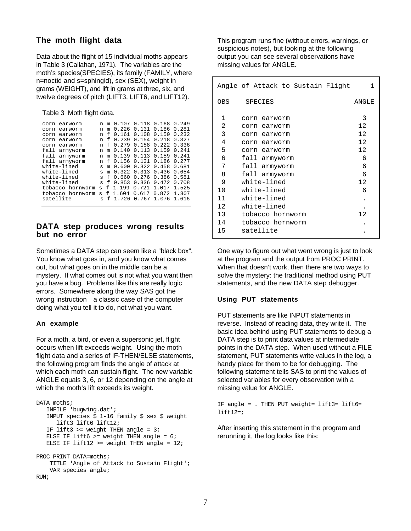# **The moth flight data**

Data about the flight of 15 individual moths appears in Table 3 (Callahan, 1971). The variables are the moth's species(SPECIES), its family (FAMILY, where n=noctid and s=sphingid), sex (SEX), weight in grams (WEIGHT), and lift in grams at three, six, and twelve degrees of pitch (LIFT3, LIFT6, and LIFT12).

Table 3 Moth flight data.

| corn      | earworm          | n            | m | 0.107 | 0.118 | 0.168 | 0.249 |
|-----------|------------------|--------------|---|-------|-------|-------|-------|
| corn      | earworm          | n            | m | 0.226 | 0.131 | 0.186 | 0.281 |
| corn      | earworm          | n            | f | 0.161 | 0.108 | 0.150 | 0.232 |
| corn      | earworm          | n            | f | 0.239 | 0.154 | 0.218 | 0.327 |
| corn      | earworm          | n            | f | 0.279 | 0.158 | 0.222 | 0.336 |
| fall      | armyworm         | n            | m | 0.140 | 0.113 | 0.159 | 0.241 |
| fall      | armyworm         | n            | m | 0.139 | 0.113 | 0.159 | 0.241 |
| fall      | armyworm         | n            | f | 0.156 | 0.131 | 0.186 | 0.277 |
|           | white-lined      | S            | m | 0.600 | 0.322 | 0.458 | 0.681 |
|           | white-lined      | s            | m | 0.322 | 0.313 | 0.436 | 0.654 |
|           | white-lined      | $\mathbf{S}$ | f | 0.660 | 0.276 | 0.386 | 0.581 |
|           | white-lined      | S            | f | 0.853 | 0.336 | 0.472 | 0.708 |
|           | tobacco hornworm | S            | f | 1.199 | 0.721 | 1.017 | 1.525 |
|           | tobacco hornworm | S            | f | 1.604 | 0.617 | 0.872 | 1.307 |
| satellite |                  | $\mathbf{a}$ | f | 1.726 | 0.767 | 1.076 | 1.616 |
|           |                  |              |   |       |       |       |       |

## **DATA step produces wrong results but no error**

Sometimes a DATA step can seem like a "black box". You know what goes in, and you know what comes out, but what goes on in the middle can be a mystery. If what comes out is not what you want then you have a bug. Problems like this are really logic errors. Somewhere along the way SAS got the wrong instruction-a classic case of the computer doing what you tell it to do, not what you want.

#### **An example**

For a moth, a bird, or even a supersonic jet, flight occurs when lift exceeds weight. Using the moth flight data and a series of IF-THEN/ELSE statements, the following program finds the angle of attack at which each moth can sustain flight. The new variable ANGLE equals 3, 6, or 12 depending on the angle at which the moth's lift exceeds its weight.

```
DATA moths;
   INFILE 'bugwing.dat';
    INPUT species $ 1-16 family $ sex $ weight
       lift3 lift6 lift12;
   IF lift3 >= weight THEN angle = 3;
  ELSE IF lift6 >= weight THEN angle = 6;
  ELSE IF lift12 >= weight THEN angle = 12;
PROC PRINT DATA=moths;
     TITLE 'Angle of Attack to Sustain Flight';
     VAR species angle;
RIN;
```
This program runs fine (without errors, warnings, or suspicious notes), but looking at the following output you can see several observations have missing values for ANGLE.

|                | Angle of Attack to Sustain Flight | 1     |
|----------------|-----------------------------------|-------|
| 0BS            | SPECIES                           | ANGLE |
| 1              | corn earworm                      | 3     |
| $\overline{2}$ | corn earworm                      | 12    |
| 3              | corn earworm                      | 12    |
| 4              | corn earworm                      | 12    |
| 5              | corn earworm                      | 12    |
| 6              | fall armyworm                     | 6     |
| 7              | fall armyworm                     | 6     |
| 8              | fall armyworm                     | 6     |
| 9              | white-lined                       | 12    |
| 10             | white-lined                       | 6     |
| 11             | white-lined                       |       |
| 12.            | white-lined                       |       |
| 13             | tobacco hornworm                  | 12    |
| 14             | tobacco hornworm                  |       |
| 15             | satellite                         |       |

One way to figure out what went wrong is just to look at the program and the output from PROC PRINT. When that doesn't work, then there are two ways to solve the mystery: the traditional method using PUT statements, and the new DATA step debugger.

#### **Using PUT statements**

PUT statements are like INPUT statements in reverse. Instead of reading data, they write it. The basic idea behind using PUT statements to debug a DATA step is to print data values at intermediate points in the DATA step. When used without a FILE statement, PUT statements write values in the log, a handy place for them to be for debugging. The following statement tells SAS to print the values of selected variables for every observation with a missing value for ANGLE.

IF angle = . THEN PUT weight= lift3= lift6=  $lift12 = i$ 

After inserting this statement in the program and rerunning it, the log looks like this: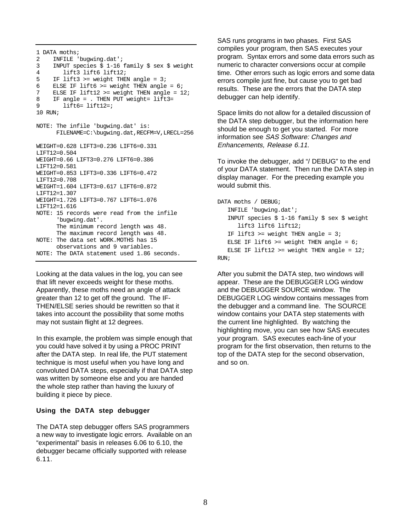```
1 DATA moths;
2 INFILE 'buqwing.dat';
3 INPUT species $ 1-16 family $ sex $ weight
4 lift3 lift6 lift12;
5 IF lift3 >= weight THEN angle = 3;
6 ELSE IF lift6 >= weight THEN angle = 6;
7 ELSE IF lift12 >= weight THEN angle = 12;
8 IF angle = . THEN PUT weight= lift3=
9 lift6= lift12=;
10 RIN;
NOTE: The infile 'bugwing.dat' is:
      FILENAME=C:\bugwing.dat,RECFM=V,LRECL=256
WEIGHT=0.628 LIFT3=0.236 LIFT6=0.331
LTFT12=0.504WEIGHT=0.66 LIFT3=0.276 LIFT6=0.386
LIFT12=0.581
WEIGHT=0.853 LIFT3=0.336 LIFT6=0.472
LIFT12=0.708
WEIGHT=1.604 LIFT3=0.617 LIFT6=0.872
LIFT12=1.307
WEIGHT=1.726 LIFT3=0.767 LIFT6=1.076
LIFT12=1.616
NOTE: 15 records were read from the infile
      'bugwing.dat'.
      The minimum record length was 48.
      The maximum record length was 48.
NOTE: The data set WORK.MOTHS has 15
      observations and 9 variables.
NOTE: The DATA statement used 1.86 seconds.
```
Looking at the data values in the log, you can see that lift never exceeds weight for these moths. Apparently, these moths need an angle of attack greater than 12 to get off the ground. The IF-THEN/ELSE series should be rewritten so that it takes into account the possibility that some moths may not sustain flight at 12 degrees.

In this example, the problem was simple enough that you could have solved it by using a PROC PRINT after the DATA step. In real life, the PUT statement technique is most useful when you have long and convoluted DATA steps, especially if that DATA step was written by someone else and you are handed the whole step rather than having the luxury of building it piece by piece.

#### **Using the DATA step debugger**

The DATA step debugger offers SAS programmers a new way to investigate logic errors. Available on an "experimental" basis in releases 6.06 to 6.10, the debugger became officially supported with release 6.11.

SAS runs programs in two phases. First SAS compiles your program, then SAS executes your program. Syntax errors and some data errors such as numeric to character conversions occur at compile time. Other errors such as logic errors and some data errors compile just fine, but cause you to get bad results. These are the errors that the DATA step debugger can help identify.

Space limits do not allow for a detailed discussion of the DATA step debugger, but the information here should be enough to get you started. For more information see SAS Software: Changes and Enhancements, Release 6.11.

To invoke the debugger, add "/ DEBUG" to the end of your DATA statement. Then run the DATA step in display manager. For the preceding example you would submit this.

```
DATA moths / DEBUG;
    INFILE 'bugwing.dat';
    INPUT species $ 1-16 family $ sex $ weight
       lift3 lift6 lift12;
   IF lift3 >= weight THEN angle = 3;
   ELSE IF lift6 >= weight THEN angle = 6;
   ELSE IF lift12 >= weight THEN angle = 12iRUN;
```
After you submit the DATA step, two windows will appear. These are the DEBUGGER LOG window and the DEBUGGER SOURCE window. The DEBUGGER LOG window contains messages from the debugger and a command line. The SOURCE window contains your DATA step statements with the current line highlighted. By watching the highlighting move, you can see how SAS executes your program. SAS executes each-line of your program for the first observation, then returns to the top of the DATA step for the second observation, and so on.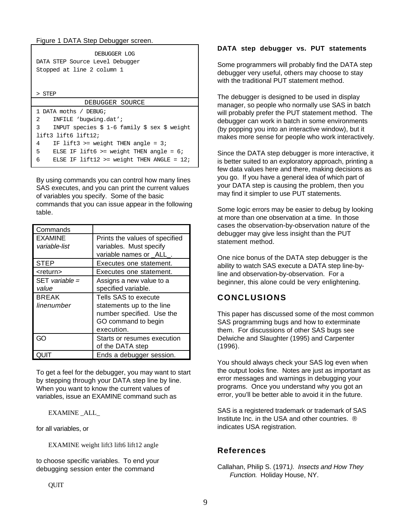Figure 1 DATA Step Debugger screen.

| DEBUGGER LOG<br>DATA STEP Source Level Debugger<br>Stopped at line 2 column 1 |  |  |
|-------------------------------------------------------------------------------|--|--|
| > STEP                                                                        |  |  |
| DEBUGGER SOURCE                                                               |  |  |
| 1 DATA moths / DEBUG;                                                         |  |  |
|                                                                               |  |  |
| $\mathbf{2}$<br>INFILE 'buqwing.dat';                                         |  |  |
| 3<br>INPUT species $$1-6$ family $$sex $ weight$                              |  |  |
| $lift3$ lift6 lift12;                                                         |  |  |
| IF lift3 >= weight THEN angle = $3$ ;<br>4                                    |  |  |
| 5<br>ELSE IF lift6 >= weight THEN angle = $6i$                                |  |  |

By using commands you can control how many lines SAS executes, and you can print the current values of variables you specify. Some of the basic commands that you can issue appear in the following table.

| Commands                        |                                                                                                                     |
|---------------------------------|---------------------------------------------------------------------------------------------------------------------|
| <b>EXAMINE</b><br>variable-list | Prints the values of specified<br>variables. Must specify<br>variable names or _ALL_.                               |
| <b>STEP</b>                     | Executes one statement.                                                                                             |
| <return></return>               | Executes one statement.                                                                                             |
| $SET$ variable =<br>value       | Assigns a new value to a<br>specified variable.                                                                     |
| <b>BREAK</b><br>linenumber      | Tells SAS to execute<br>statements up to the line<br>number specified. Use the<br>GO command to begin<br>execution. |
| 70                              | Starts or resumes execution<br>of the DATA step                                                                     |
|                                 | Ends a debugger session.                                                                                            |

To get a feel for the debugger, you may want to start by stepping through your DATA step line by line. When you want to know the current values of variables, issue an EXAMINE command such as

EXAMINE \_ALL\_

for all variables, or

EXAMINE weight lift3 lift6 lift12 angle

to choose specific variables. To end your debugging session enter the command

## **DATA step debugger vs. PUT statements**

Some programmers will probably find the DATA step debugger very useful, others may choose to stay with the traditional PUT statement method.

The debugger is designed to be used in display manager, so people who normally use SAS in batch will probably prefer the PUT statement method. The debugger can work in batch in some environments (by popping you into an interactive window), but it makes more sense for people who work interactively.

Since the DATA step debugger is more interactive, it is better suited to an exploratory approach, printing a few data values here and there, making decisions as you go. If you have a general idea of which part of your DATA step is causing the problem, then you may find it simpler to use PUT statements.

Some logic errors may be easier to debug by looking at more than one observation at a time. In those cases the observation-by-observation nature of the debugger may give less insight than the PUT statement method.

One nice bonus of the DATA step debugger is the ability to watch SAS execute a DATA step line-byline and observation-by-observation. For a beginner, this alone could be very enlightening.

# **CONCLUSIONS**

This paper has discussed some of the most common SAS programming bugs and how to exterminate them. For discussions of other SAS bugs see Delwiche and Slaughter (1995) and Carpenter (1996).

You should always check your SAS log even when the output looks fine. Notes are just as important as error messages and warnings in debugging your programs. Once you understand why you got an error, you'll be better able to avoid it in the future.

SAS is a registered trademark or trademark of SAS Institute Inc. in the USA and other countries. ® indicates USA registration.

# **References**

Callahan, Philip S. (1971). Insects and How They Function. Holiday House, NY.